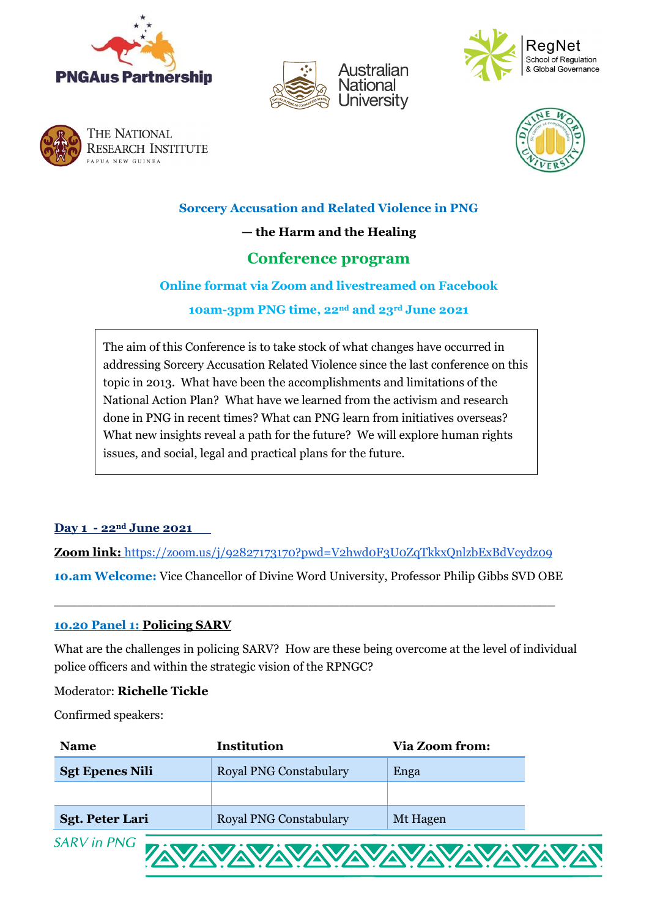









**Sorcery Accusation and Related Violence in PNG** 

**— the Harm and the Healing**

# **Conference program**

# **Online format via Zoom and livestreamed on Facebook**

**10am-3pm PNG time, 22nd and 23rd June 2021**

The aim of this Conference is to take stock of what changes have occurred in addressing Sorcery Accusation Related Violence since the last conference on this topic in 2013. What have been the accomplishments and limitations of the National Action Plan? What have we learned from the activism and research done in PNG in recent times? What can PNG learn from initiatives overseas? What new insights reveal a path for the future? We will explore human rights issues, and social, legal and practical plans for the future.

# **Day 1 - 22nd June 2021**

**Zoom link:** <https://zoom.us/j/92827173170?pwd=V2hwd0F3U0ZqTkkxQnlzbExBdVcydz09>

**10.am Welcome:** Vice Chancellor of Divine Word University, Professor Philip Gibbs SVD OBE

\_\_\_\_\_\_\_\_\_\_\_\_\_\_\_\_\_\_\_\_\_\_\_\_\_\_\_\_\_\_\_\_\_\_\_\_\_\_\_\_\_\_\_\_\_\_\_\_\_\_\_\_\_\_\_\_\_\_\_\_\_\_\_\_\_

# **10.20 Panel 1: Policing SARV**

What are the challenges in policing SARV? How are these being overcome at the level of individual police officers and within the strategic vision of the RPNGC?

#### Moderator: **Richelle Tickle**

Confirmed speakers:

| <b>Name</b>            | <b>Institution</b>            | <b>Via Zoom from:</b> |  |
|------------------------|-------------------------------|-----------------------|--|
| <b>Sgt Epenes Nili</b> | <b>Royal PNG Constabulary</b> | Enga                  |  |
|                        |                               |                       |  |
| <b>Sgt. Peter Lari</b> | <b>Royal PNG Constabulary</b> | Mt Hagen              |  |
| <b>SARV</b> in PNG     | <b>ZAVAVAVAVAVAVAVAVAVAV</b>  |                       |  |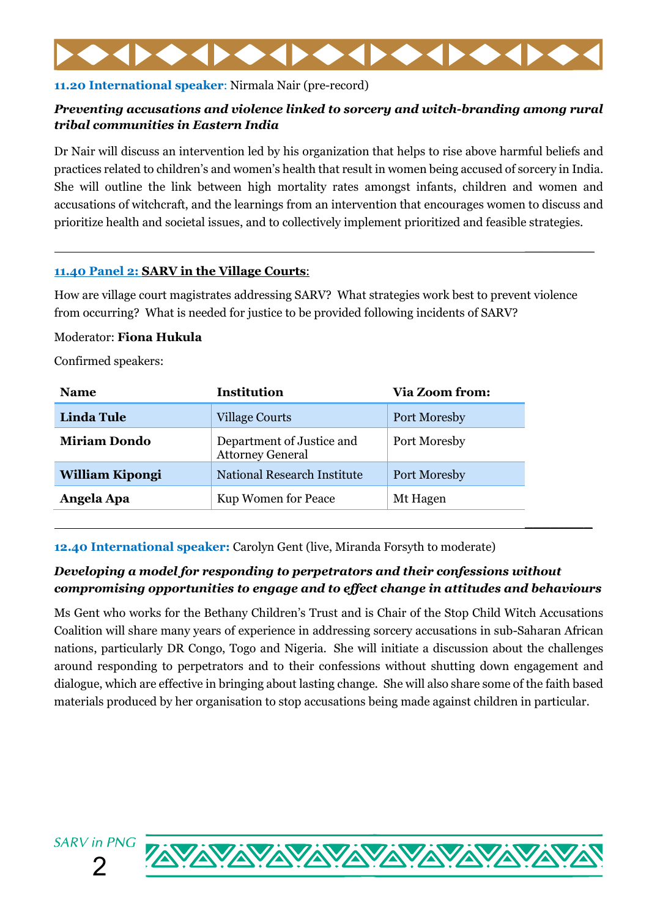# **11.20 International speaker**: Nirmala Nair (pre-record)

# *Preventing accusations and violence linked to sorcery and witch-branding among rural tribal communities in Eastern India*

Dr Nair will discuss an intervention led by his organization that helps to rise above harmful beliefs and practices related to children's and women's health that result in women being accused of sorcery in India. She will outline the link between high mortality rates amongst infants, children and women and accusations of witchcraft, and the learnings from an intervention that encourages women to discuss and prioritize health and societal issues, and to collectively implement prioritized and feasible strategies.

 $\overline{\phantom{a}}$  , where  $\overline{\phantom{a}}$ 

**\_\_\_\_\_\_\_\_**

# **11.40 Panel 2: SARV in the Village Courts**:

How are village court magistrates addressing SARV? What strategies work best to prevent violence from occurring? What is needed for justice to be provided following incidents of SARV?

# Moderator: **Fiona Hukula**

Confirmed speakers:

| <b>Linda Tule</b>   | <b>Village Courts</b>                                | Port Moresby |
|---------------------|------------------------------------------------------|--------------|
| <b>Miriam Dondo</b> | Department of Justice and<br><b>Attorney General</b> | Port Moresby |
| William Kipongi     | National Research Institute                          | Port Moresby |
| Angela Apa          | Kup Women for Peace                                  | Mt Hagen     |

**12.40 International speaker:** Carolyn Gent (live, Miranda Forsyth to moderate)

# *Developing a model for responding to perpetrators and their confessions without compromising opportunities to engage and to effect change in attitudes and behaviours*

Ms Gent who works for the Bethany Children's Trust and is Chair of the Stop Child Witch Accusations Coalition will share many years of experience in addressing sorcery accusations in sub-Saharan African nations, particularly DR Congo, Togo and Nigeria. She will initiate a discussion about the challenges around responding to perpetrators and to their confessions without shutting down engagement and dialogue, which are effective in bringing about lasting change. She will also share some of the faith based materials produced by her organisation to stop accusations being made against children in particular.



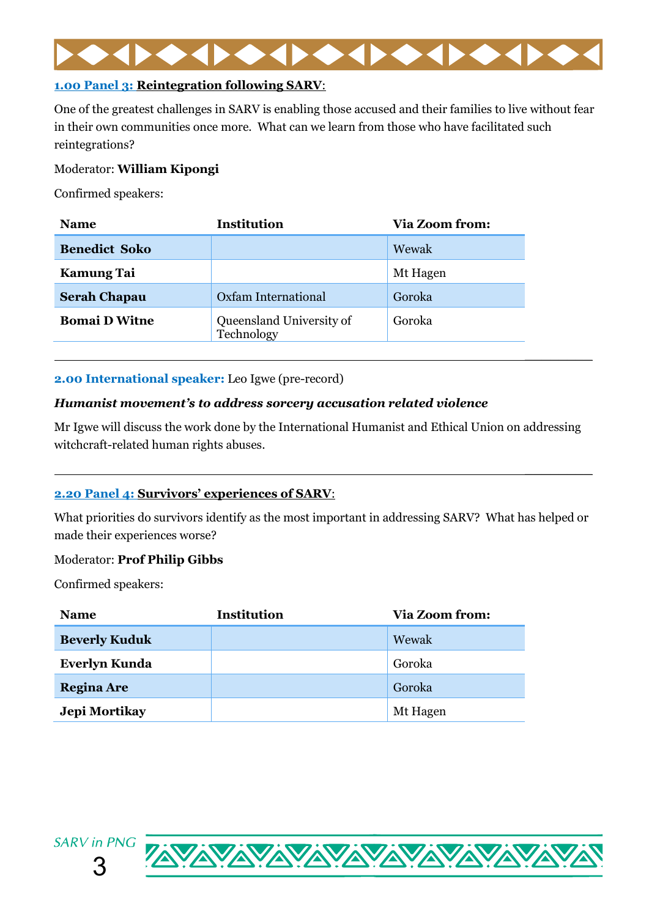

# **1.00 Panel 3: Reintegration following SARV**:

One of the greatest challenges in SARV is enabling those accused and their families to live without fear in their own communities once more. What can we learn from those who have facilitated such reintegrations?

# Moderator: **William Kipongi**

Confirmed speakers:

| <b>Name</b>          | Institution                            | <b>Via Zoom from:</b> |
|----------------------|----------------------------------------|-----------------------|
| <b>Benedict Soko</b> |                                        | Wewak                 |
| <b>Kamung Tai</b>    |                                        | Mt Hagen              |
| <b>Serah Chapau</b>  | Oxfam International                    | Goroka                |
| <b>Bomai D Witne</b> | Queensland University of<br>Technology | Goroka                |

# **2.00 International speaker:** Leo Igwe (pre-record)

# *Humanist movement's to address sorcery accusation related violence*

Mr Igwe will discuss the work done by the International Humanist and Ethical Union on addressing witchcraft-related human rights abuses.

**\_\_\_\_\_\_\_\_**

**\_\_\_\_\_\_\_\_**

# **2.20 Panel 4: Survivors' experiences of SARV**:

What priorities do survivors identify as the most important in addressing SARV? What has helped or made their experiences worse?

# Moderator: **Prof Philip Gibbs**

Confirmed speakers:

| <b>Name</b>          | <b>Institution</b> | <b>Via Zoom from:</b> |
|----------------------|--------------------|-----------------------|
| <b>Beverly Kuduk</b> |                    | Wewak                 |
| <b>Everlyn Kunda</b> |                    | Goroka                |
| <b>Regina Are</b>    |                    | Goroka                |
| Jepi Mortikay        |                    | Mt Hagen              |



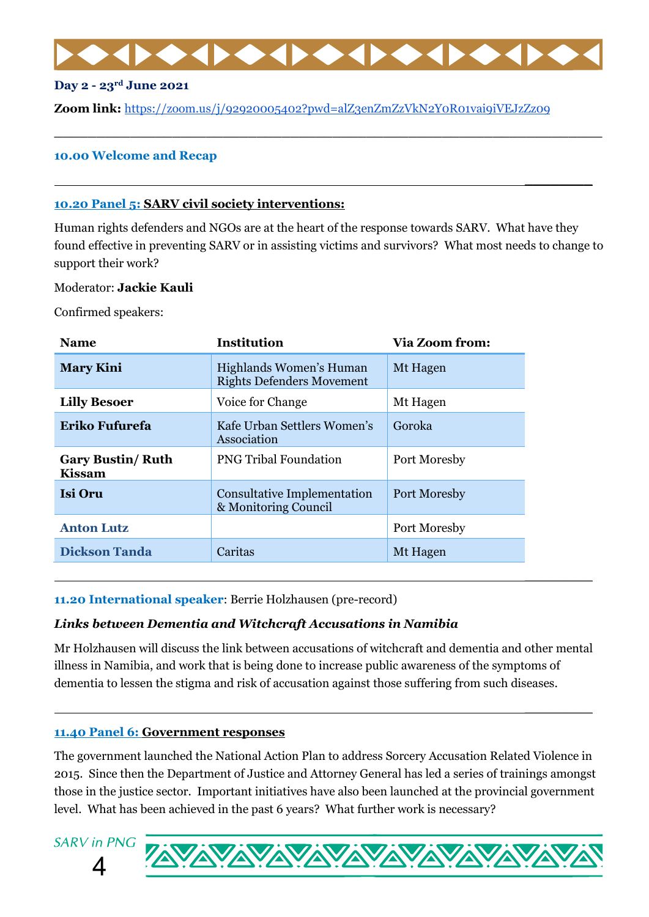**\_\_\_\_\_\_\_\_\_\_\_\_\_\_\_\_\_\_\_\_\_\_\_\_\_\_\_\_\_\_\_\_\_\_\_\_\_\_\_\_\_\_\_\_\_\_\_\_\_\_\_\_\_\_\_\_\_\_\_\_\_\_\_\_\_**

**\_\_\_\_\_\_\_\_**

**\_\_\_\_\_\_\_\_**

**\_\_\_\_\_\_\_\_**

#### **Day 2 - 23rd June 2021**

**Zoom link:** <https://zoom.us/j/92920005402?pwd=alZ3enZmZzVkN2Y0R01vai9iVEJzZz09>

### **10.00 Welcome and Recap**

#### **10.20 Panel 5: SARV civil society interventions:**

Human rights defenders and NGOs are at the heart of the response towards SARV. What have they found effective in preventing SARV or in assisting victims and survivors? What most needs to change to support their work?

#### Moderator: **Jackie Kauli**

Confirmed speakers:

| <b>Name</b>                               | <b>Institution</b>                                          | <b>Via Zoom from:</b> |
|-------------------------------------------|-------------------------------------------------------------|-----------------------|
| <b>Mary Kini</b>                          | Highlands Women's Human<br><b>Rights Defenders Movement</b> | Mt Hagen              |
| <b>Lilly Besoer</b>                       | Voice for Change                                            | Mt Hagen              |
| Eriko Fufurefa                            | Kafe Urban Settlers Women's<br>Association                  | Goroka                |
| <b>Gary Bustin/ Ruth</b><br><b>Kissam</b> | <b>PNG Tribal Foundation</b>                                | Port Moresby          |
| <b>Isi Oru</b>                            | <b>Consultative Implementation</b><br>& Monitoring Council  | Port Moresby          |
| <b>Anton Lutz</b>                         |                                                             | Port Moresby          |
| <b>Dickson Tanda</b>                      | Caritas                                                     | Mt Hagen              |
|                                           |                                                             |                       |

#### **11.20 International speaker**: Berrie Holzhausen (pre-record)

# *Links between Dementia and Witchcraft Accusations in Namibia*

Mr Holzhausen will discuss the link between accusations of witchcraft and dementia and other mental illness in Namibia, and work that is being done to increase public awareness of the symptoms of dementia to lessen the stigma and risk of accusation against those suffering from such diseases.

#### **11.40 Panel 6: Government responses**

The government launched the National Action Plan to address Sorcery Accusation Related Violence in 2015. Since then the Department of Justice and Attorney General has led a series of trainings amongst those in the justice sector. Important initiatives have also been launched at the provincial government level. What has been achieved in the past 6 years? What further work is necessary?



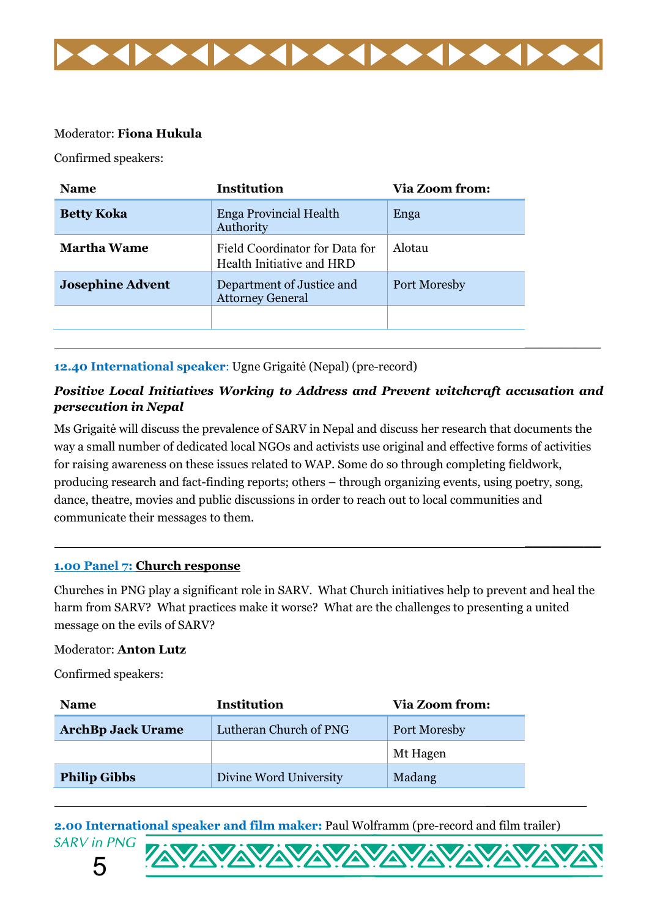

# Moderator: **Fiona Hukula**

Confirmed speakers:

| <b>Name</b>             | <b>Institution</b>                                          | <b>Via Zoom from:</b> |
|-------------------------|-------------------------------------------------------------|-----------------------|
| <b>Betty Koka</b>       | Enga Provincial Health<br>Authority                         | Enga                  |
| <b>Martha Wame</b>      | Field Coordinator for Data for<br>Health Initiative and HRD | Alotau                |
| <b>Josephine Advent</b> | Department of Justice and<br><b>Attorney General</b>        | Port Moresby          |
|                         |                                                             |                       |
|                         |                                                             |                       |

# **12.40 International speaker**: Ugne Grigaitė (Nepal) (pre-record)

# *Positive Local Initiatives Working to Address and Prevent witchcraft accusation and persecution in Nepal*

Ms Grigaitė will discuss the prevalence of SARV in Nepal and discuss her research that documents the way a small number of dedicated local NGOs and activists use original and effective forms of activities for raising awareness on these issues related to WAP. Some do so through completing fieldwork, producing research and fact-finding reports; others – through organizing events, using poetry, song, dance, theatre, movies and public discussions in order to reach out to local communities and communicate their messages to them.

# **1.00 Panel 7: Church response**

Churches in PNG play a significant role in SARV. What Church initiatives help to prevent and heal the harm from SARV? What practices make it worse? What are the challenges to presenting a united message on the evils of SARV?

**\_\_\_\_\_\_\_\_\_**

**\_\_\_\_\_\_\_\_\_\_\_\_**

#### Moderator: **Anton Lutz**

Confirmed speakers:

| <b>Name</b>              | <b>Institution</b>     | <b>Via Zoom from:</b> |
|--------------------------|------------------------|-----------------------|
| <b>ArchBp Jack Urame</b> | Lutheran Church of PNG | <b>Port Moresby</b>   |
|                          |                        | Mt Hagen              |
| <b>Philip Gibbs</b>      | Divine Word University | Madang                |

**2.00 International speaker and film maker:** Paul Wolframm (pre-record and film trailer)**SARV** in PNG